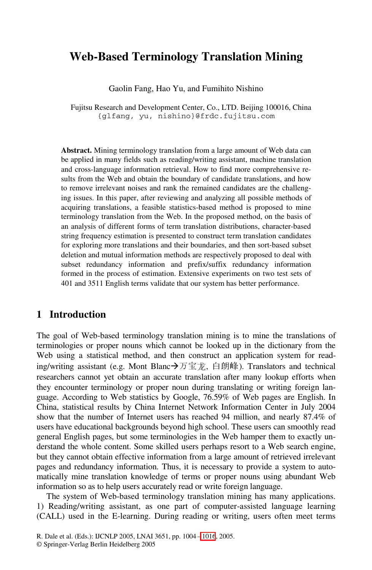# **Web-Based Terminology Translation Mining**

Gaolin Fang, Hao Yu, and Fumihito Nishino

Fujitsu Research and Development Center, Co., LTD. Beijing 100016, China {glfang, yu, nishino}@frdc.fujitsu.com

**Abstract.** Mining terminology translation from a large amount of Web data can be applied in many fields such as reading/writing assistant, machine translation and cross-language information retrieval. How to find more comprehensive results from the Web and obtain the boundary of candidate translations, and how to remove irrelevant noises and rank the remained candidates are the challenging issues. In this paper, after reviewing and analyzing all possible methods of acquiring translations, a feasible statistics-based method is proposed to mine terminology translation from the Web. In the proposed method, on the basis of an analysis of different forms of term translation distributions, character-based string frequency estimation is presented to construct term translation candidates for exploring more translations and their boundaries, and then sort-based subset deletion and mutual information methods are respectively proposed to deal with subset redundancy information and prefix/suffix redundancy information formed in the process of estimation. Extensive experiments on two test sets of 401 and 3511 English terms validate that our system has better performance.

### **1 Introduction**

The goal of Web-based terminology translation mining is to mine the translations of terminologies or proper nouns which cannot be looked up in the dictionary from the Web using a statistical method, and then construct an application system for reading/writing assistant (e.g. Mont Blanc→万宝龙, 白朗峰). Translators and technical researchers cannot yet obtain an accurate translation after many lookup efforts when they encounter terminology or proper noun during translating or writing foreign language. According to Web statistics by Google, 76.59% of Web pages are English. In China, statistical results by China Internet Network Information Center in July 2004 show that the number of Internet users has reached 94 million, and nearly 87.4% of users have educational backgrounds beyond high school. These users can smoothly read general English pages, but some terminologies in the Web hamper them to exactly understand the whole content. Some skilled users perhaps resort to a Web search engine, but they cannot obtain effective information from a large amount of retrieved irrelevant pages and redundancy information. Thus, it is necessary to provide a system to automatically mine translation knowledge of terms or proper nouns using abundant Web information so as to help users accurately read or write foreign language.

The system of Web-based terminology translation mining has many applications. 1) Reading/writing assistant, as one part of computer-assisted language learning (CALL) used in the E-learning. During reading or writing, users often meet terms

<sup>©</sup> Springer-Verlag Berlin Heidelberg 2005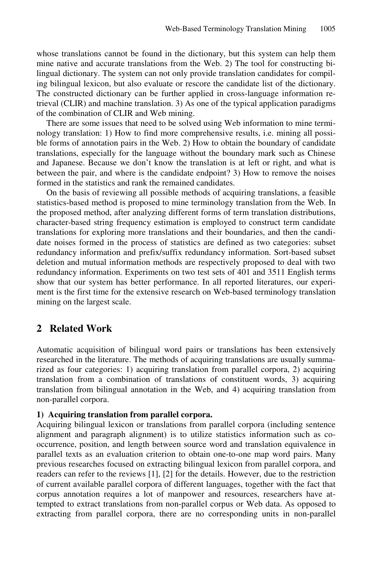whose translations cannot be found in the dictionary, but this system can help them mine native and accurate translations from the Web. 2) The tool for constructing bilingual dictionary. The system can not only provide translation candidates for compiling bilingual lexicon, but also evaluate or rescore the candidate list of the dictionary. The constructed dictionary can be further applied in cross-language information retrieval (CLIR) and machine translation. 3) As one of the typical application paradigms of the combination of CLIR and Web mining.

There are some issues that need to be solved using Web information to mine terminology translation: 1) How to find more comprehensive results, i.e. mining all possible forms of annotation pairs in the Web. 2) How to obtain the boundary of candidate translations, especially for the language without the boundary mark such as Chinese and Japanese. Because we don't know the translation is at left or right, and what is between the pair, and where is the candidate endpoint? 3) How to remove the noises formed in the statistics and rank the remained candidates.

On the basis of reviewing all possible methods of acquiring translations, a feasible statistics-based method is proposed to mine terminology translation from the Web. In the proposed method, after analyzing different forms of term translation distributions, character-based string frequency estimation is employed to construct term candidate translations for exploring more translations and their boundaries, and then the candidate noises formed in the process of statistics are defined as two categories: subset redundancy information and prefix/suffix redundancy information. Sort-based subset deletion and mutual information methods are respectively proposed to deal with two redundancy information. Experiments on two test sets of 401 and 3511 English terms show that our system has better performance. In all reported literatures, our experiment is the first time for the extensive research on Web-based terminology translation mining on the largest scale.

### **2 Related Work**

Automatic acquisition of bilingual word pairs or translations has been extensively researched in the literature. The methods of acquiring translations are usually summarized as four categories: 1) acquiring translation from parallel corpora, 2) acquiring translation from a combination of translations of constituent words, 3) acquiring translation from bilingual annotation in the Web, and 4) acquiring translation from non-parallel corpora.

#### **1) Acquiring translation from parallel corpora.**

Acquiring bilingual lexicon or translations from parallel corpora (including sentence alignment and paragraph alignment) is to utilize statistics information such as cooccurrence, position, and length between source word and translation equivalence in parallel texts as an evaluation criterion to obtain one-to-one map word pairs. Many previous researches focused on extracting bilingual lexicon from parallel corpora, and readers can refer to the reviews [1], [2] for the details. However, due to the restriction of current available parallel corpora of different languages, together with the fact that corpus annotation requires a lot of manpower and resources, researchers have attempted to extract translations from non-parallel corpus or Web data. As opposed to extracting from parallel corpora, there are no corresponding units in non-parallel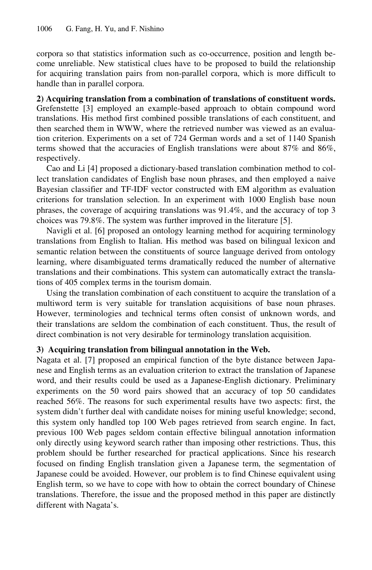corpora so that statistics information such as co-occurrence, position and length become unreliable. New statistical clues have to be proposed to build the relationship for acquiring translation pairs from non-parallel corpora, which is more difficult to handle than in parallel corpora.

### **2) Acquiring translation from a combination of translations of constituent words.**

Grefenstette [3] employed an example-based approach to obtain compound word translations. His method first combined possible translations of each constituent, and then searched them in WWW, where the retrieved number was viewed as an evaluation criterion. Experiments on a set of 724 German words and a set of 1140 Spanish terms showed that the accuracies of English translations were about 87% and 86%, respectively.

Cao and Li [4] proposed a dictionary-based translation combination method to collect translation candidates of English base noun phrases, and then employed a naive Bayesian classifier and TF-IDF vector constructed with EM algorithm as evaluation criterions for translation selection. In an experiment with 1000 English base noun phrases, the coverage of acquiring translations was 91.4%, and the accuracy of top 3 choices was 79.8%. The system was further improved in the literature [5].

Navigli et al. [6] proposed an ontology learning method for acquiring terminology translations from English to Italian. His method was based on bilingual lexicon and semantic relation between the constituents of source language derived from ontology learning, where disambiguated terms dramatically reduced the number of alternative translations and their combinations. This system can automatically extract the translations of 405 complex terms in the tourism domain.

Using the translation combination of each constituent to acquire the translation of a multiword term is very suitable for translation acquisitions of base noun phrases. However, terminologies and technical terms often consist of unknown words, and their translations are seldom the combination of each constituent. Thus, the result of direct combination is not very desirable for terminology translation acquisition.

### **3) Acquiring translation from bilingual annotation in the Web.**

Nagata et al. [7] proposed an empirical function of the byte distance between Japanese and English terms as an evaluation criterion to extract the translation of Japanese word, and their results could be used as a Japanese-English dictionary. Preliminary experiments on the 50 word pairs showed that an accuracy of top 50 candidates reached 56%. The reasons for such experimental results have two aspects: first, the system didn't further deal with candidate noises for mining useful knowledge; second, this system only handled top 100 Web pages retrieved from search engine. In fact, previous 100 Web pages seldom contain effective bilingual annotation information only directly using keyword search rather than imposing other restrictions. Thus, this problem should be further researched for practical applications. Since his research focused on finding English translation given a Japanese term, the segmentation of Japanese could be avoided. However, our problem is to find Chinese equivalent using English term, so we have to cope with how to obtain the correct boundary of Chinese translations. Therefore, the issue and the proposed method in this paper are distinctly different with Nagata's.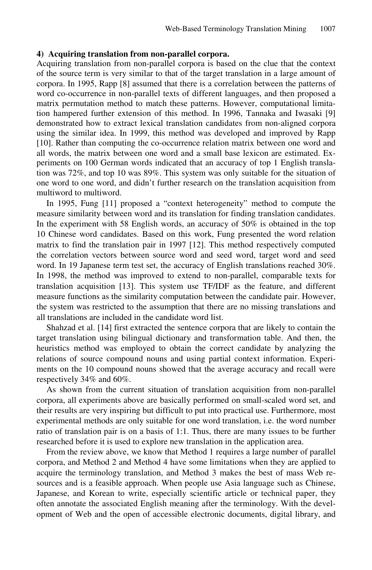#### **4) Acquiring translation from non-parallel corpora.**

Acquiring translation from non-parallel corpora is based on the clue that the context of the source term is very similar to that of the target translation in a large amount of corpora. In 1995, Rapp [8] assumed that there is a correlation between the patterns of word co-occurrence in non-parallel texts of different languages, and then proposed a matrix permutation method to match these patterns. However, computational limitation hampered further extension of this method. In 1996, Tannaka and Iwasaki [9] demonstrated how to extract lexical translation candidates from non-aligned corpora using the similar idea. In 1999, this method was developed and improved by Rapp [10]. Rather than computing the co-occurrence relation matrix between one word and all words, the matrix between one word and a small base lexicon are estimated. Experiments on 100 German words indicated that an accuracy of top 1 English translation was 72%, and top 10 was 89%. This system was only suitable for the situation of one word to one word, and didn't further research on the translation acquisition from multiword to multiword.

In 1995, Fung [11] proposed a "context heterogeneity" method to compute the measure similarity between word and its translation for finding translation candidates. In the experiment with 58 English words, an accuracy of 50% is obtained in the top 10 Chinese word candidates. Based on this work, Fung presented the word relation matrix to find the translation pair in 1997 [12]. This method respectively computed the correlation vectors between source word and seed word, target word and seed word. In 19 Japanese term test set, the accuracy of English translations reached 30%. In 1998, the method was improved to extend to non-parallel, comparable texts for translation acquisition [13]. This system use TF/IDF as the feature, and different measure functions as the similarity computation between the candidate pair. However, the system was restricted to the assumption that there are no missing translations and all translations are included in the candidate word list.

Shahzad et al. [14] first extracted the sentence corpora that are likely to contain the target translation using bilingual dictionary and transformation table. And then, the heuristics method was employed to obtain the correct candidate by analyzing the relations of source compound nouns and using partial context information. Experiments on the 10 compound nouns showed that the average accuracy and recall were respectively 34% and 60%.

As shown from the current situation of translation acquisition from non-parallel corpora, all experiments above are basically performed on small-scaled word set, and their results are very inspiring but difficult to put into practical use. Furthermore, most experimental methods are only suitable for one word translation, i.e. the word number ratio of translation pair is on a basis of 1:1. Thus, there are many issues to be further researched before it is used to explore new translation in the application area.

From the review above, we know that Method 1 requires a large number of parallel corpora, and Method 2 and Method 4 have some limitations when they are applied to acquire the terminology translation, and Method 3 makes the best of mass Web resources and is a feasible approach. When people use Asia language such as Chinese, Japanese, and Korean to write, especially scientific article or technical paper, they often annotate the associated English meaning after the terminology. With the development of Web and the open of accessible electronic documents, digital library, and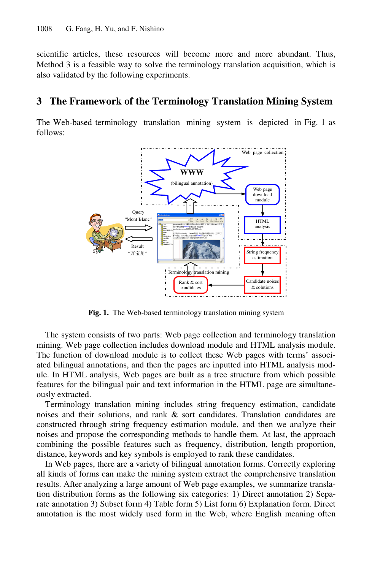scientific articles, these resources will become more and more abundant. Thus, Method 3 is a feasible way to solve the terminology translation acquisition, which is also validated by the following experiments.

## **3 The Framework of the Terminology Translation Mining System**

The Web-based terminology translation mining system is depicted in Fig. 1 as follows:



**Fig. 1.** The Web-based terminology translation mining system

The system consists of two parts: Web page collection and terminology translation mining. Web page collection includes download module and HTML analysis module. The function of download module is to collect these Web pages with terms' associated bilingual annotations, and then the pages are inputted into HTML analysis module. In HTML analysis, Web pages are built as a tree structure from which possible features for the bilingual pair and text information in the HTML page are simultaneously extracted.

Terminology translation mining includes string frequency estimation, candidate noises and their solutions, and rank & sort candidates. Translation candidates are constructed through string frequency estimation module, and then we analyze their noises and propose the corresponding methods to handle them. At last, the approach combining the possible features such as frequency, distribution, length proportion, distance, keywords and key symbols is employed to rank these candidates.

In Web pages, there are a variety of bilingual annotation forms. Correctly exploring all kinds of forms can make the mining system extract the comprehensive translation results. After analyzing a large amount of Web page examples, we summarize translation distribution forms as the following six categories: 1) Direct annotation 2) Separate annotation 3) Subset form 4) Table form 5) List form 6) Explanation form. Direct annotation is the most widely used form in the Web, where English meaning often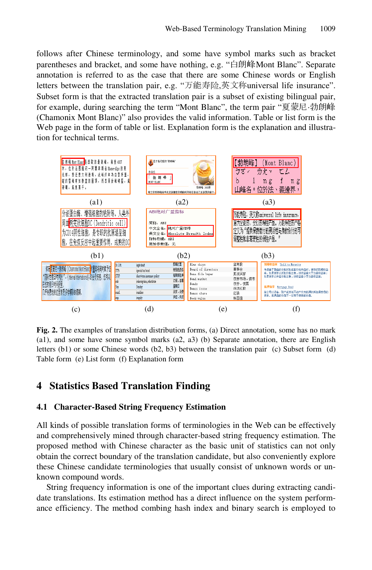follows after Chinese terminology, and some have symbol marks such as bracket parentheses and bracket, and some have nothing, e.g. "白朗峰Mont Blanc". Separate annotation is referred to as the case that there are some Chinese words or English letters between the translation pair, e.g. "万能寿险,英文称universal life insurance". Subset form is that the extracted translation pair is a subset of existing bilingual pair, for example, during searching the term "Mont Blanc", the term pair "夏蒙尼·勃朗峰 (Chamonix Mont Blanc)" also provides the valid information. Table or list form is the Web page in the form of table or list. Explanation form is the explanation and illustration for technical terms.



**Fig. 2.** The examples of translation distribution forms, (a) Direct annotation, some has no mark (a1), and some have some symbol marks (a2, a3) (b) Separate annotation, there are English letters (b1) or some Chinese words (b2, b3) between the translation pair (c) Subset form (d) Table form (e) List form (f) Explanation form

# **4 Statistics Based Translation Finding**

### **4.1 Character-Based String Frequency Estimation**

All kinds of possible translation forms of terminologies in the Web can be effectively and comprehensively mined through character-based string frequency estimation. The proposed method with Chinese character as the basic unit of statistics can not only obtain the correct boundary of the translation candidate, but also conveniently explore these Chinese candidate terminologies that usually consist of unknown words or unknown compound words.

String frequency information is one of the important clues during extracting candidate translations. Its estimation method has a direct influence on the system performance efficiency. The method combing hash index and binary search is employed to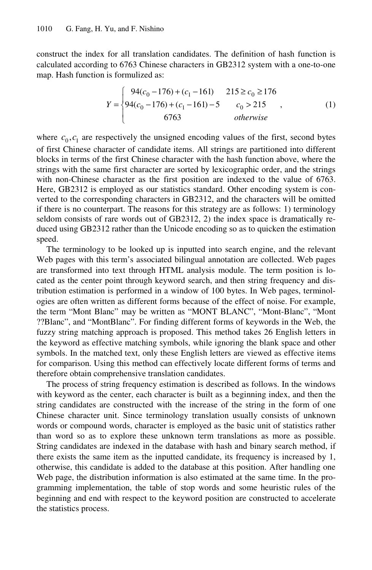construct the index for all translation candidates. The definition of hash function is calculated according to 6763 Chinese characters in GB2312 system with a one-to-one map. Hash function is formulized as:

$$
Y = \begin{cases} 94(c_0 - 176) + (c_1 - 161) & 215 \ge c_0 \ge 176 \\ 94(c_0 - 176) + (c_1 - 161) - 5 & c_0 > 215 \\ 6763 & otherwise \end{cases}
$$
 (1)

where  $c_0, c_1$  are respectively the unsigned encoding values of the first, second bytes of first Chinese character of candidate items. All strings are partitioned into different blocks in terms of the first Chinese character with the hash function above, where the strings with the same first character are sorted by lexicographic order, and the strings with non-Chinese character as the first position are indexed to the value of 6763. Here, GB2312 is employed as our statistics standard. Other encoding system is converted to the corresponding characters in GB2312, and the characters will be omitted if there is no counterpart. The reasons for this strategy are as follows: 1) terminology seldom consists of rare words out of GB2312, 2) the index space is dramatically reduced using GB2312 rather than the Unicode encoding so as to quicken the estimation speed.

The terminology to be looked up is inputted into search engine, and the relevant Web pages with this term's associated bilingual annotation are collected. Web pages are transformed into text through HTML analysis module. The term position is located as the center point through keyword search, and then string frequency and distribution estimation is performed in a window of 100 bytes. In Web pages, terminologies are often written as different forms because of the effect of noise. For example, the term "Mont Blanc" may be written as "MONT BLANC", "Mont-Blanc", "Mont ??Blanc", and "MontBlanc". For finding different forms of keywords in the Web, the fuzzy string matching approach is proposed. This method takes 26 English letters in the keyword as effective matching symbols, while ignoring the blank space and other symbols. In the matched text, only these English letters are viewed as effective items for comparison. Using this method can effectively locate different forms of terms and therefore obtain comprehensive translation candidates.

The process of string frequency estimation is described as follows. In the windows with keyword as the center, each character is built as a beginning index, and then the string candidates are constructed with the increase of the string in the form of one Chinese character unit. Since terminology translation usually consists of unknown words or compound words, character is employed as the basic unit of statistics rather than word so as to explore these unknown term translations as more as possible. String candidates are indexed in the database with hash and binary search method, if there exists the same item as the inputted candidate, its frequency is increased by 1, otherwise, this candidate is added to the database at this position. After handling one Web page, the distribution information is also estimated at the same time. In the programming implementation, the table of stop words and some heuristic rules of the beginning and end with respect to the keyword position are constructed to accelerate the statistics process.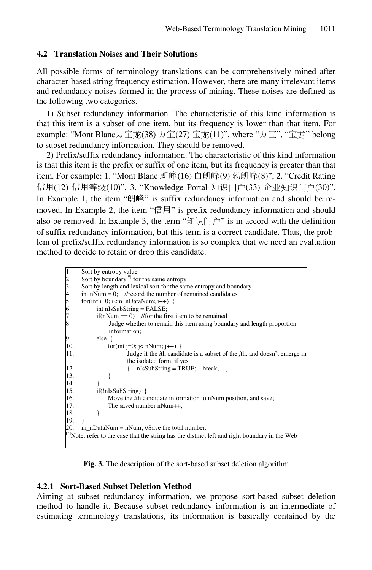### **4.2 Translation Noises and Their Solutions**

All possible forms of terminology translations can be comprehensively mined after character-based string frequency estimation. However, there are many irrelevant items and redundancy noises formed in the process of mining. These noises are defined as the following two categories.

1) Subset redundancy information. The characteristic of this kind information is that this item is a subset of one item, but its frequency is lower than that item. For example: "Mont Blanc万宝龙(38) 万宝(27) 宝龙(11)", where "万宝", "宝龙" belong to subset redundancy information. They should be removed.

2) Prefix/suffix redundancy information. The characteristic of this kind information is that this item is the prefix or suffix of one item, but its frequency is greater than that item. For example: 1. "Mont Blanc 朗峰(16) 白朗峰(9) 勃朗峰(8)", 2. "Credit Rating 信用(12) 信用等级(10)", 3. "Knowledge Portal 知识门户(33) 企业知识门户(30)". In Example 1, the item "朗峰" is suffix redundancy information and should be removed. In Example 2, the item "信用" is prefix redundancy information and should also be removed. In Example 3, the term "知识门户" is in accord with the definition of suffix redundancy information, but this term is a correct candidate. Thus, the problem of prefix/suffix redundancy information is so complex that we need an evaluation method to decide to retain or drop this candidate.

| T.                                                                                                   | Sort by entropy value                                                                    |  |  |  |  |  |  |  |
|------------------------------------------------------------------------------------------------------|------------------------------------------------------------------------------------------|--|--|--|--|--|--|--|
| 2.                                                                                                   | Sort by boundary <sup>[*]</sup> for the same entropy                                     |  |  |  |  |  |  |  |
| 3.                                                                                                   | Sort by length and lexical sort for the same entropy and boundary                        |  |  |  |  |  |  |  |
| 4.                                                                                                   | int nNum = 0; //record the number of remained candidates                                 |  |  |  |  |  |  |  |
| 5.                                                                                                   | for(int i=0; i <m_ndatanum; i++)="" td="" {<=""></m_ndatanum;>                           |  |  |  |  |  |  |  |
| 6.                                                                                                   | $int nIsSubString = FALSE;$                                                              |  |  |  |  |  |  |  |
| 7.                                                                                                   | $if(nNum == 0)$ //for the first item to be remained                                      |  |  |  |  |  |  |  |
| 8.                                                                                                   | Judge whether to remain this item using boundary and length proportion                   |  |  |  |  |  |  |  |
|                                                                                                      | information;                                                                             |  |  |  |  |  |  |  |
| 9.                                                                                                   | else {                                                                                   |  |  |  |  |  |  |  |
| 10.                                                                                                  | for(int j=0; j< nNum; j++) {                                                             |  |  |  |  |  |  |  |
| 11.                                                                                                  | Judge if the <i>i</i> th candidate is a subset of the <i>j</i> th, and doesn't emerge in |  |  |  |  |  |  |  |
|                                                                                                      | the isolated form, if yes                                                                |  |  |  |  |  |  |  |
| 12.                                                                                                  | $nIsSubString = TRUE; break;$                                                            |  |  |  |  |  |  |  |
| 13.                                                                                                  |                                                                                          |  |  |  |  |  |  |  |
| 14.                                                                                                  |                                                                                          |  |  |  |  |  |  |  |
| 15.                                                                                                  | if(!nIsSubString) {                                                                      |  |  |  |  |  |  |  |
| 16.                                                                                                  | Move the <i>i</i> th candidate information to nNum position, and save;                   |  |  |  |  |  |  |  |
| 17.                                                                                                  | The saved number nNum++;                                                                 |  |  |  |  |  |  |  |
| 18.                                                                                                  |                                                                                          |  |  |  |  |  |  |  |
| 19.                                                                                                  |                                                                                          |  |  |  |  |  |  |  |
| 20.                                                                                                  | $m_nDataNum = nNum$ ; //Save the total number.                                           |  |  |  |  |  |  |  |
| $[{}^*]$ Note: refer to the case that the string has the distinct left and right boundary in the Web |                                                                                          |  |  |  |  |  |  |  |
|                                                                                                      |                                                                                          |  |  |  |  |  |  |  |

**Fig. 3.** The description of the sort-based subset deletion algorithm

### **4.2.1 Sort-Based Subset Deletion Method**

Aiming at subset redundancy information, we propose sort-based subset deletion method to handle it. Because subset redundancy information is an intermediate of estimating terminology translations, its information is basically contained by the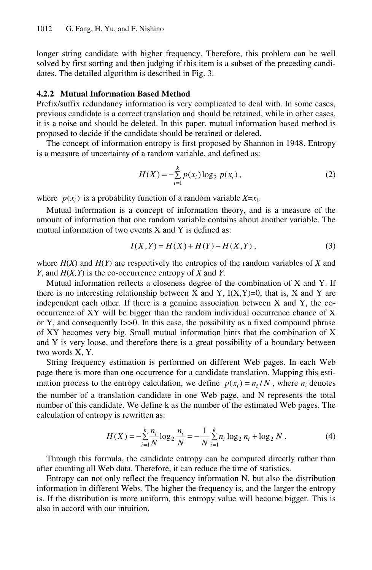longer string candidate with higher frequency. Therefore, this problem can be well solved by first sorting and then judging if this item is a subset of the preceding candidates. The detailed algorithm is described in Fig. 3.

#### **4.2.2 Mutual Information Based Method**

Prefix/suffix redundancy information is very complicated to deal with. In some cases, previous candidate is a correct translation and should be retained, while in other cases, it is a noise and should be deleted. In this paper, mutual information based method is proposed to decide if the candidate should be retained or deleted.

The concept of information entropy is first proposed by Shannon in 1948. Entropy is a measure of uncertainty of a random variable, and defined as:

$$
H(X) = -\sum_{i=1}^{k} p(x_i) \log_2 p(x_i),
$$
 (2)

where  $p(x_i)$  is a probability function of a random variable  $X=x_i$ .

Mutual information is a concept of information theory, and is a measure of the amount of information that one random variable contains about another variable. The mutual information of two events X and Y is defined as:

$$
I(X,Y) = H(X) + H(Y) - H(X,Y),
$$
\n(3)

where  $H(X)$  and  $H(Y)$  are respectively the entropies of the random variables of X and *Y*, and *H*(*X,Y*) is the co-occurrence entropy of *X* and *Y*.

Mutual information reflects a closeness degree of the combination of X and Y. If there is no interesting relationship between X and Y,  $I(X,Y)=0$ , that is, X and Y are independent each other. If there is a genuine association between X and Y, the cooccurrence of XY will be bigger than the random individual occurrence chance of X or Y, and consequently I>>0. In this case, the possibility as a fixed compound phrase of XY becomes very big. Small mutual information hints that the combination of X and Y is very loose, and therefore there is a great possibility of a boundary between two words X, Y.

String frequency estimation is performed on different Web pages. In each Web page there is more than one occurrence for a candidate translation. Mapping this estimation process to the entropy calculation, we define  $p(x_i) = n_i / N$ , where  $n_i$  denotes the number of a translation candidate in one Web page, and N represents the total number of this candidate. We define k as the number of the estimated Web pages. The calculation of entropy is rewritten as:

$$
H(X) = -\sum_{i=1}^{k} \frac{n_i}{N} \log_2 \frac{n_i}{N} = -\frac{1}{N} \sum_{i=1}^{k} n_i \log_2 n_i + \log_2 N.
$$
 (4)

Through this formula, the candidate entropy can be computed directly rather than after counting all Web data. Therefore, it can reduce the time of statistics.

Entropy can not only reflect the frequency information N, but also the distribution information in different Webs. The higher the frequency is, and the larger the entropy is. If the distribution is more uniform, this entropy value will become bigger. This is also in accord with our intuition.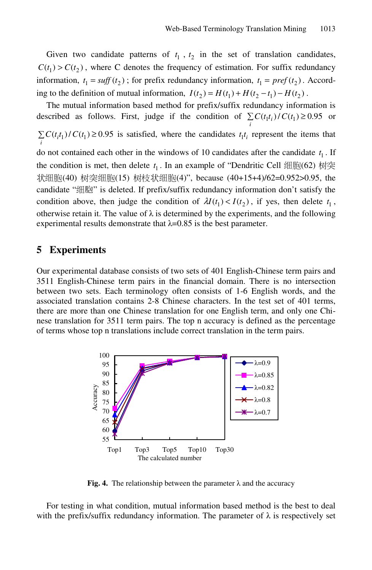Given two candidate patterns of  $t_1$ ,  $t_2$  in the set of translation candidates,  $C(t_1) > C(t_2)$ , where C denotes the frequency of estimation. For suffix redundancy information,  $t_1 = \textit{suffix}$  redundancy information,  $t_1 = \textit{pref}(t_2)$ . According to the definition of mutual information,  $I(t_2) = H(t_1) + H(t_2 - t_1) - H(t_2)$ .

The mutual information based method for prefix/suffix redundancy information is described as follows. First, judge if the condition of  $\sum_{i} C(t_i t_i) / C(t_1) \ge 0.95$  or  $\sum_{i} C(t_i t_1) / C(t_1) \ge 0.95$  is satisfied, where the candidates  $t_1 t_i$  represent the items that do not contained each other in the windows of 10 candidates after the candidate  $t_1$ . If the condition is met, then delete  $t_1$ . In an example of "Dendritic Cell 细胞(62) 树突 状细胞(40) 树突细胞(15) 树枝状细胞(4)", because (40+15+4)/62=0.952>0.95, the candidate "细胞" is deleted. If prefix/suffix redundancy information don't satisfy the condition above, then judge the condition of  $\lambda I(t_1) < I(t_2)$ , if yes, then delete  $t_1$ , otherwise retain it. The value of  $\lambda$  is determined by the experiments, and the following experimental results demonstrate that  $\lambda$ =0.85 is the best parameter.

## **5 Experiments**

Our experimental database consists of two sets of 401 English-Chinese term pairs and 3511 English-Chinese term pairs in the financial domain. There is no intersection between two sets. Each terminology often consists of 1-6 English words, and the associated translation contains 2-8 Chinese characters. In the test set of 401 terms, there are more than one Chinese translation for one English term, and only one Chinese translation for 3511 term pairs. The top n accuracy is defined as the percentage of terms whose top n translations include correct translation in the term pairs.



**Fig. 4.** The relationship between the parameter  $\lambda$  and the accuracy

For testing in what condition, mutual information based method is the best to deal with the prefix/suffix redundancy information. The parameter of  $\lambda$  is respectively set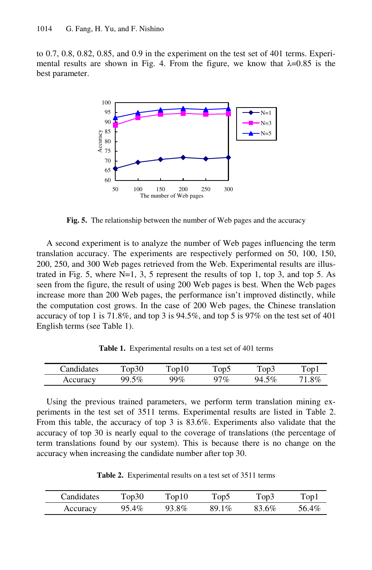to 0.7, 0.8, 0.82, 0.85, and 0.9 in the experiment on the test set of 401 terms. Experimental results are shown in Fig. 4. From the figure, we know that  $\lambda$ =0.85 is the best parameter.



**Fig. 5.** The relationship between the number of Web pages and the accuracy

A second experiment is to analyze the number of Web pages influencing the term translation accuracy. The experiments are respectively performed on 50, 100, 150, 200, 250, and 300 Web pages retrieved from the Web. Experimental results are illustrated in Fig. 5, where  $N=1, 3, 5$  represent the results of top 1, top 3, and top 5. As seen from the figure, the result of using 200 Web pages is best. When the Web pages increase more than 200 Web pages, the performance isn't improved distinctly, while the computation cost grows. In the case of 200 Web pages, the Chinese translation accuracy of top 1 is 71.8%, and top 3 is 94.5%, and top 5 is 97% on the test set of 401 English terms (see Table 1).

**Table 1.** Experimental results on a test set of 401 terms

| <sup>c</sup> andidates | ີ∩n ∖ | ിവ<br>U   | .     | `op3                | Top1             |
|------------------------|-------|-----------|-------|---------------------|------------------|
| uraen.                 | $\%$  | м<br>$\%$ | $7\%$ | $5\%$<br>u/і<br>τ.∠ | $8\%$<br>$\cdot$ |

Using the previous trained parameters, we perform term translation mining experiments in the test set of 3511 terms. Experimental results are listed in Table 2. From this table, the accuracy of top 3 is 83.6%. Experiments also validate that the accuracy of top 30 is nearly equal to the coverage of translations (the percentage of term translations found by our system). This is because there is no change on the accuracy when increasing the candidate number after top 30.

**Table 2.** Experimental results on a test set of 3511 terms

| Candidates | $\Gamma$ op30 | $\Gamma$ op $10$ | $\Gamma$ op $\overline{2}$ | Top3  | $\text{Top}1$ |
|------------|---------------|------------------|----------------------------|-------|---------------|
| Accuracy   | 95.4%         | 93.8%            | 89.1%                      | 83.6% | 56.4%         |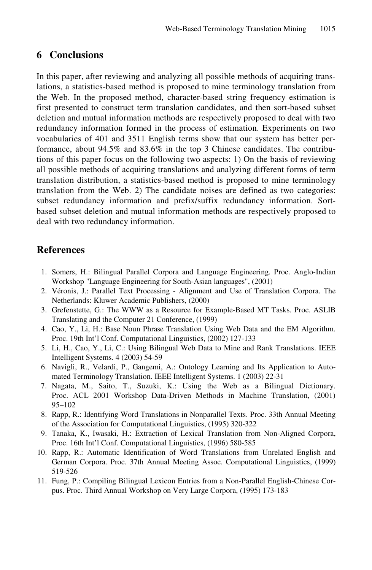## **6 Conclusions**

In this paper, after reviewing and analyzing all possible methods of acquiring translations, a statistics-based method is proposed to mine terminology translation from the Web. In the proposed method, character-based string frequency estimation is first presented to construct term translation candidates, and then sort-based subset deletion and mutual information methods are respectively proposed to deal with two redundancy information formed in the process of estimation. Experiments on two vocabularies of 401 and 3511 English terms show that our system has better performance, about 94.5% and 83.6% in the top 3 Chinese candidates. The contributions of this paper focus on the following two aspects: 1) On the basis of reviewing all possible methods of acquiring translations and analyzing different forms of term translation distribution, a statistics-based method is proposed to mine terminology translation from the Web. 2) The candidate noises are defined as two categories: subset redundancy information and prefix/suffix redundancy information. Sortbased subset deletion and mutual information methods are respectively proposed to deal with two redundancy information.

## **References**

- 1. Somers, H.: Bilingual Parallel Corpora and Language Engineering. Proc. Anglo-Indian Workshop "Language Engineering for South-Asian languages", (2001)
- 2. Véronis, J.: Parallel Text Processing Alignment and Use of Translation Corpora. The Netherlands: Kluwer Academic Publishers, (2000)
- 3. Grefenstette, G.: The WWW as a Resource for Example-Based MT Tasks. Proc. ASLIB Translating and the Computer 21 Conference, (1999)
- 4. Cao, Y., Li, H.: Base Noun Phrase Translation Using Web Data and the EM Algorithm. Proc. 19th Int'l Conf. Computational Linguistics, (2002) 127-133
- 5. Li, H., Cao, Y., Li, C.: Using Bilingual Web Data to Mine and Rank Translations. IEEE Intelligent Systems. 4 (2003) 54-59
- 6. Navigli, R., Velardi, P., Gangemi, A.: Ontology Learning and Its Application to Automated Terminology Translation. IEEE Intelligent Systems. 1 (2003) 22-31
- 7. Nagata, M., Saito, T., Suzuki, K.: Using the Web as a Bilingual Dictionary. Proc. ACL 2001 Workshop Data-Driven Methods in Machine Translation, (2001) 95–102
- 8. Rapp, R.: Identifying Word Translations in Nonparallel Texts. Proc. 33th Annual Meeting of the Association for Computational Linguistics, (1995) 320-322
- 9. Tanaka, K., Iwasaki, H.: Extraction of Lexical Translation from Non-Aligned Corpora, Proc. 16th Int'l Conf. Computational Linguistics, (1996) 580-585
- 10. Rapp, R.: Automatic Identification of Word Translations from Unrelated English and German Corpora. Proc. 37th Annual Meeting Assoc. Computational Linguistics, (1999) 519-526
- 11. Fung, P.: Compiling Bilingual Lexicon Entries from a Non-Parallel English-Chinese Corpus. Proc. Third Annual Workshop on Very Large Corpora, (1995) 173-183